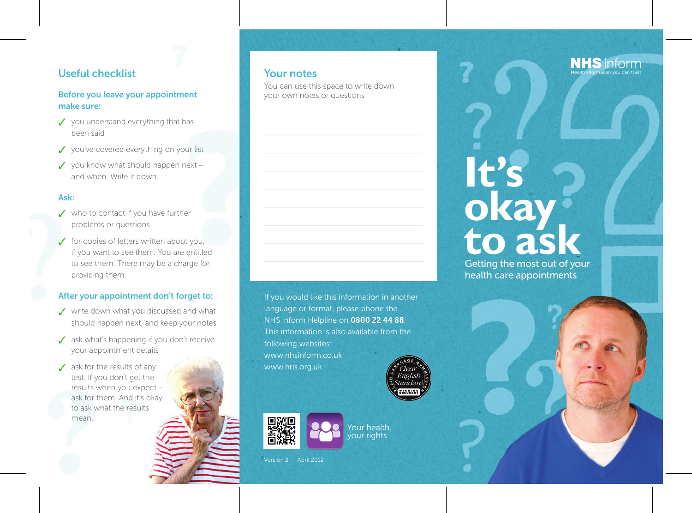## **Useful checklist**

## **Before you leave your appointment make sure:**

- ✓ you understand everything that has been said
- ✓ you've covered everything on your list
- ✓ you know what should happen next and when. Write it down.

### **Ask:**

- ✓ who to contact if you have further problems or questions
- ✓ for copies of letters written about you, if you want to see them. You are entitled to see them. There may be a charge for providing them.

## **After your appointment don't forget to:**

- ✓ write down what you discussed and what should happen next, and keep your notes
- ✓ ask what's happening if you don't receive your appointment details
- $\angle$  ask for the results of any test. If you don't get the results when you expect – ask for them. And it's okay to ask what the results mean.

## **Your notes**

You can use this space to write down your own notes or questions



If you would like this information in another language or format, please phone the NHS inform Helpline on **0800 22 44 88**. This information is also available from the following websites: www.nhsinform.co.uk www.hris.org.uk

> Your health, your rights



# **It's okay to ask**

Getting the most out of your<br>health care appointments

Version 2 April 2012